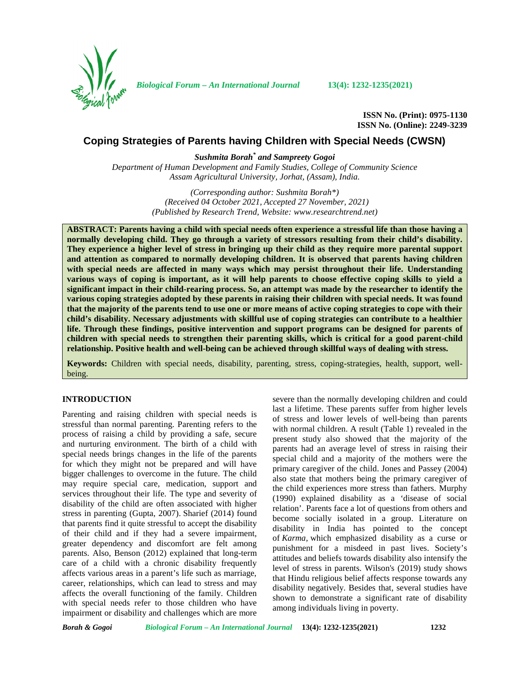

*Biological Forum – An International Journal* **13(4): 1232-1235(2021)**

**ISSN No. (Print): 0975-1130 ISSN No. (Online): 2249-3239**

# **Coping Strategies of Parents having Children with Special Needs (CWSN)**

*Sushmita Borah\* and Sampreety Gogoi*

*Department of Human Development and Family Studies, College of Community Science Assam Agricultural University, Jorhat, (Assam), India.*

> *(Corresponding author: Sushmita Borah\*) (Received 04 October 2021, Accepted 27 November, 2021) (Published by Research Trend, Website: [www.researchtrend.net\)](www.researchtrend.net)*

**ABSTRACT: Parents having a child with special needs often experience a stressful life than those having a normally developing child. They go through a variety of stressors resulting from their child's disability. They experience a higher level of stress in bringing up their child as they require more parental support and attention as compared to normally developing children. It is observed that parents having children with special needs are affected in many ways which may persist throughout their life. Understanding various ways of coping is important, as it will help parents to choose effective coping skills to yield a significant impact in their child-rearing process. So, an attempt was made by the researcher to identify the various coping strategies adopted by these parents in raising their children with special needs. It was found that the majority of the parents tend to use one or more means of active coping strategies to cope with their child's disability. Necessary adjustments with skillful use of coping strategies can contribute to a healthier life. Through these findings, positive intervention and support programs can be designed for parents of children with special needs to strengthen their parenting skills, which is critical for a good parent-child relationship. Positive health and well-being can be achieved through skillful ways of dealing with stress.**

**Keywords:** Children with special needs, disability, parenting, stress, coping-strategies, health, support, well being.

## **INTRODUCTION**

Parenting and raising children with special needs is stressful than normal parenting. Parenting refers to the process of raising a child by providing a safe, secure and nurturing environment. The birth of a child with special needs brings changes in the life of the parents for which they might not be prepared and will have bigger challenges to overcome in the future. The child may require special care, medication, support and services throughout their life. The type and severity of disability of the child are often associated with higher stress in parenting (Gupta, 2007). Sharief (2014) found that parents find it quite stressful to accept the disability of their child and if they had a severe impairment, greater dependency and discomfort are felt among parents. Also, Benson (2012) explained that long-term care of a child with a chronic disability frequently affects various areas in a parent's life such as marriage, career, relationships, which can lead to stress and may affects the overall functioning of the family. Children with special needs refer to those children who have impairment or disability and challenges which are more

severe than the normally developing children and could last a lifetime. These parents suffer from higher levels of stress and lower levels of well-being than parents with normal children. A result (Table 1) revealed in the present study also showed that the majority of the parents had an average level of stress in raising their special child and a majority of the mothers were the primary caregiver of the child. Jones and Passey (2004) also state that mothers being the primary caregiver of the child experiences more stress than fathers. Murphy (1990) explained disability as a 'disease of social relation'. Parents face a lot of questions from others and become socially isolated in a group. Literature on disability in India has pointed to the concept of *Karma,* which emphasized disability as a curse or punishment for a misdeed in past lives. Society's attitudes and beliefs towards disability also intensify the level of stress in parents. Wilson's (2019) study shows that Hindu religious belief affects response towards any disability negatively. Besides that, several studies have shown to demonstrate a significant rate of disability among individuals living in poverty.

*Borah & Gogoi Biological Forum – An International Journal* **13(4): 1232-1235(2021) 1232**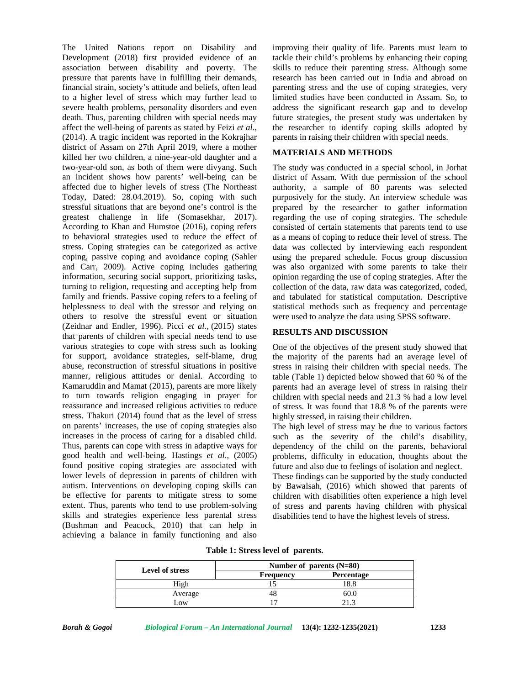The United Nations report on Disability and Development (2018) first provided evidence of an association between disability and poverty. The pressure that parents have in fulfilling their demands, financial strain, society's attitude and beliefs, often lead to a higher level of stress which may further lead to severe health problems, personality disorders and even death. Thus, parenting children with special needs may affect the well-being of parents as stated by Feizi *et al*., (2014). A tragic incident was reported in the Kokrajhar district of Assam on 27th April 2019, where a mother killed her two children, a nine-year-old daughter and a two-year-old son, as both of them were divyang. Such an incident shows how parents' well-being can be affected due to higher levels of stress (The Northeast Today, Dated: 28.04.2019). So, coping with such stressful situations that are beyond one's control is the greatest challenge in life (Somasekhar, 2017). According to Khan and Humstoe (2016), coping refers to behavioral strategies used to reduce the effect of stress. Coping strategies can be categorized as active coping, passive coping and avoidance coping (Sahler and Carr, 2009). Active coping includes gathering information, securing social support, prioritizing tasks, turning to religion, requesting and accepting help from family and friends. Passive coping refers to a feeling of helplessness to deal with the stressor and relying on others to resolve the stressful event or situation (Zeidnar and Endler, 1996). Picci *et al.,* (2015) states that parents of children with special needs tend to use various strategies to cope with stress such as looking for support, avoidance strategies, self-blame, drug abuse, reconstruction of stressful situations in positive manner, religious attitudes or denial. According to Kamaruddin and Mamat (2015), parents are more likely to turn towards religion engaging in prayer for reassurance and increased religious activities to reduce stress. Thakuri (2014) found that as the level of stress on parents' increases, the use of coping strategies also increases in the process of caring for a disabled child. Thus, parents can cope with stress in adaptive ways for good health and well-being. Hastings *et al*., (2005) found positive coping strategies are associated with lower levels of depression in parents of children with autism. Interventions on developing coping skills can be effective for parents to mitigate stress to some extent. Thus, parents who tend to use problem-solving skills and strategies experience less parental stress (Bushman and Peacock, 2010) that can help in achieving a balance in family functioning and also

improving their quality of life. Parents must learn to tackle their child's problems by enhancing their coping skills to reduce their parenting stress. Although some research has been carried out in India and abroad on parenting stress and the use of coping strategies, very limited studies have been conducted in Assam. So, to address the significant research gap and to develop future strategies, the present study was undertaken by the researcher to identify coping skills adopted by parents in raising their children with special needs.

### **MATERIALS AND METHODS**

The study was conducted in a special school, in Jorhat district of Assam. With due permission of the school authority, a sample of 80 parents was selected purposively for the study. An interview schedule was prepared by the researcher to gather information regarding the use of coping strategies. The schedule consisted of certain statements that parents tend to use as a means of coping to reduce their level of stress. The data was collected by interviewing each respondent using the prepared schedule. Focus group discussion was also organized with some parents to take their opinion regarding the use of coping strategies. After the collection of the data, raw data was categorized, coded, and tabulated for statistical computation. Descriptive statistical methods such as frequency and percentage were used to analyze the data using SPSS software.

#### **RESULTS AND DISCUSSION**

One of the objectives of the present study showed that the majority of the parents had an average level of stress in raising their children with special needs. The table (Table 1) depicted below showed that 60 % of the parents had an average level of stress in raising their children with special needs and 21.3 % had a low level of stress. It was found that 18.8 % of the parents were highly stressed, in raising their children.

The high level of stress may be due to various factors such as the severity of the child's disability, dependency of the child on the parents, behavioral problems, difficulty in education, thoughts about the future and also due to feelings of isolation and neglect.

These findings can be supported by the study conducted by Bawalsah, (2016) which showed that parents of children with disabilities often experience a high level of stress and parents having children with physical disabilities tend to have the highest levels of stress.

|  |  |  | Table 1: Stress level of parents. |
|--|--|--|-----------------------------------|
|--|--|--|-----------------------------------|

|                        | Number of parents $(N=80)$ |            |  |
|------------------------|----------------------------|------------|--|
| <b>Level of stress</b> | <b>Frequency</b>           | Percentage |  |
| High                   |                            |            |  |
| Average                |                            | 60.U       |  |
| $\Omega$               |                            |            |  |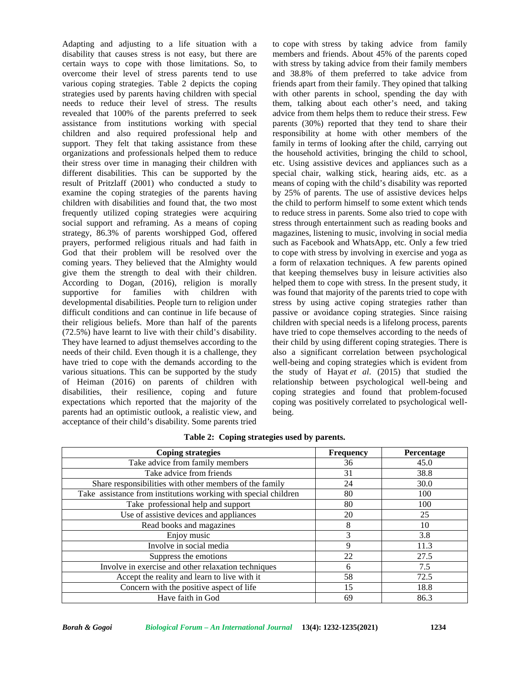Adapting and adjusting to a life situation with a disability that causes stress is not easy, but there are certain ways to cope with those limitations. So, to overcome their level of stress parents tend to use various coping strategies. Table 2 depicts the coping strategies used by parents having children with special needs to reduce their level of stress. The results revealed that 100% of the parents preferred to seek assistance from institutions working with special children and also required professional help and support. They felt that taking assistance from these organizations and professionals helped them to reduce their stress over time in managing their children with different disabilities. This can be supported by the result of Pritzlaff (2001) who conducted a study to examine the coping strategies of the parents having children with disabilities and found that, the two most frequently utilized coping strategies were acquiring social support and reframing. As a means of coping strategy, 86.3% of parents worshipped God, offered prayers, performed religious rituals and had faith in God that their problem will be resolved over the coming years. They believed that the Almighty would give them the strength to deal with their children. According to Dogan, (2016), religion is morally supportive for families with children with developmental disabilities. People turn to religion under difficult conditions and can continue in life because of their religious beliefs. More than half of the parents (72.5%) have learnt to live with their child's disability. They have learned to adjust themselves according to the needs of their child. Even though it is a challenge, they have tried to cope with the demands according to the various situations. This can be supported by the study of Heiman (2016) on parents of children with disabilities, their resilience, coping and future expectations which reported that the majority of the parents had an optimistic outlook, a realistic view, and acceptance of their child's disability. Some parents tried

to cope with stress by taking advice from family members and friends. About 45% of the parents coped with stress by taking advice from their family members and 38.8% of them preferred to take advice from friends apart from their family. They opined that talking with other parents in school, spending the day with them, talking about each other's need, and taking advice from them helps them to reduce their stress. Few parents (30%) reported that they tend to share their responsibility at home with other members of the family in terms of looking after the child, carrying out the household activities, bringing the child to school, etc. Using assistive devices and appliances such as a special chair, walking stick, hearing aids, etc. as a means of coping with the child's disability was reported by 25% of parents. The use of assistive devices helps the child to perform himself to some extent which tends to reduce stress in parents. Some also tried to cope with stress through entertainment such as reading books and magazines, listening to music, involving in social media such as Facebook and WhatsApp, etc. Only a few tried to cope with stress by involving in exercise and yoga as a form of relaxation techniques. A few parents opined that keeping themselves busy in leisure activities also helped them to cope with stress. In the present study, it was found that majority of the parents tried to cope with stress by using active coping strategies rather than passive or avoidance coping strategies. Since raising children with special needs is a lifelong process, parents have tried to cope themselves according to the needs of their child by using different coping strategies. There is also a significant correlation between psychological well-being and coping strategies which is evident from the study of Hayat *et al*. (2015) that studied the relationship between psychological well-being and coping strategies and found that problem-focused coping was positively correlated to psychological well being.

| <b>Coping strategies</b>                                        | <b>Frequency</b> | Percentage |
|-----------------------------------------------------------------|------------------|------------|
| Take advice from family members                                 | 36               | 45.0       |
| Take advice from friends                                        | 31               | 38.8       |
| Share responsibilities with other members of the family         | 24               | 30.0       |
| Take assistance from institutions working with special children | 80               | 100        |
| Take professional help and support                              | 80               | 100        |
| Use of assistive devices and appliances                         | 20               | 25         |
| Read books and magazines                                        | 8                | 10         |
| Enjoy music                                                     | 3                | 3.8        |
| Involve in social media                                         | 9                | 11.3       |
| Suppress the emotions                                           | 22               | 27.5       |
| Involve in exercise and other relaxation techniques             | 6                | 7.5        |
| Accept the reality and learn to live with it                    | 58               | 72.5       |
| Concern with the positive aspect of life                        | 15               | 18.8       |
| Have faith in God                                               | 69               | 86.3       |

**Table 2: Coping strategies used by parents.**